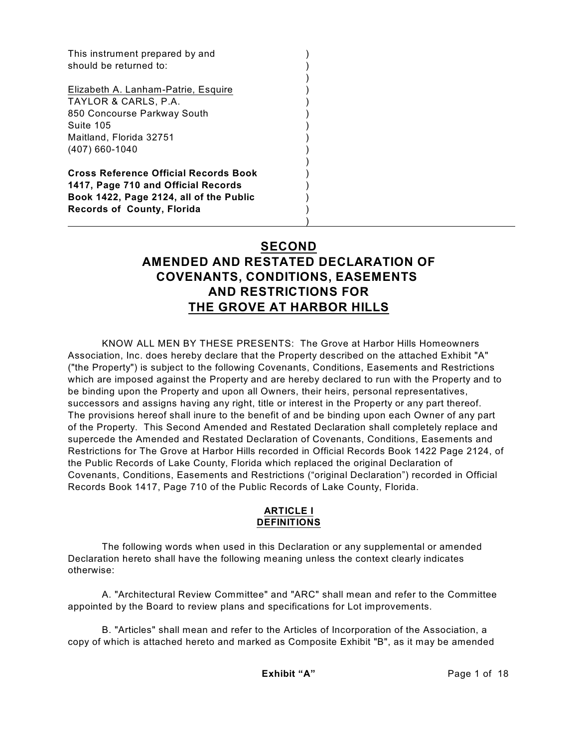This instrument prepared by and () should be returned to:  $($ 

Elizabeth A. Lanham-Patrie, Esquire (1999) TAYLOR & CARLS, P.A. ) 850 Concourse Parkway South ) Suite 105 ) Maitland, Florida 32751 (407) 660-1040 )

**Cross Reference Official Records Book** ) **1417, Page 710 and Official Records** ) **Book 1422, Page 2124, all of the Public** ) **Records of County, Florida** )

)

# **SECOND AMENDED AND RESTATED DECLARATION OF COVENANTS, CONDITIONS, EASEMENTS AND RESTRICTIONS FOR THE GROVE AT HARBOR HILLS**

)

)

KNOW ALL MEN BY THESE PRESENTS: The Grove at Harbor Hills Homeowners Association, Inc. does hereby declare that the Property described on the attached Exhibit "A" ("the Property") is subject to the following Covenants, Conditions, Easements and Restrictions which are imposed against the Property and are hereby declared to run with the Property and to be binding upon the Property and upon all Owners, their heirs, personal representatives, successors and assigns having any right, title or interest in the Property or any part thereof. The provisions hereof shall inure to the benefit of and be binding upon each Owner of any part of the Property. This Second Amended and Restated Declaration shall completely replace and supercede the Amended and Restated Declaration of Covenants, Conditions, Easements and Restrictions for The Grove at Harbor Hills recorded in Official Records Book 1422 Page 2124, of the Public Records of Lake County, Florida which replaced the original Declaration of Covenants, Conditions, Easements and Restrictions ("original Declaration") recorded in Official Records Book 1417, Page 710 of the Public Records of Lake County, Florida.

### **ARTICLE I DEFINITIONS**

The following words when used in this Declaration or any supplemental or amended Declaration hereto shall have the following meaning unless the context clearly indicates otherwise:

A. "Architectural Review Committee" and "ARC" shall mean and refer to the Committee appointed by the Board to review plans and specifications for Lot improvements.

B. "Articles" shall mean and refer to the Articles of Incorporation of the Association, a copy of which is attached hereto and marked as Composite Exhibit "B", as it may be amended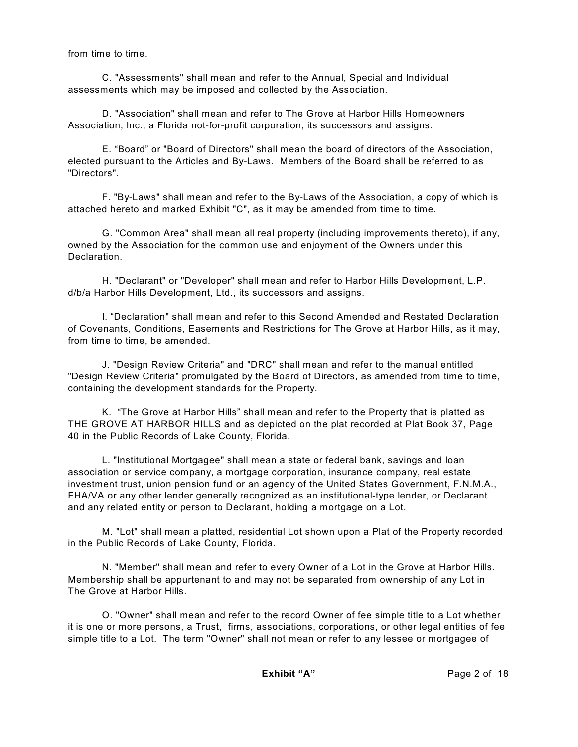from time to time.

C. "Assessments" shall mean and refer to the Annual, Special and Individual assessments which may be imposed and collected by the Association.

D. "Association" shall mean and refer to The Grove at Harbor Hills Homeowners Association, Inc., a Florida not-for-profit corporation, its successors and assigns.

E. "Board" or "Board of Directors" shall mean the board of directors of the Association, elected pursuant to the Articles and By-Laws. Members of the Board shall be referred to as "Directors".

F. "By-Laws" shall mean and refer to the By-Laws of the Association, a copy of which is attached hereto and marked Exhibit "C", as it may be amended from time to time.

G. "Common Area" shall mean all real property (including improvements thereto), if any, owned by the Association for the common use and enjoyment of the Owners under this Declaration.

H. "Declarant" or "Developer" shall mean and refer to Harbor Hills Development, L.P. d/b/a Harbor Hills Development, Ltd., its successors and assigns.

I. "Declaration" shall mean and refer to this Second Amended and Restated Declaration of Covenants, Conditions, Easements and Restrictions for The Grove at Harbor Hills, as it may, from time to time, be amended.

J. "Design Review Criteria" and "DRC" shall mean and refer to the manual entitled "Design Review Criteria" promulgated by the Board of Directors, as amended from time to time, containing the development standards for the Property.

K. "The Grove at Harbor Hills" shall mean and refer to the Property that is platted as THE GROVE AT HARBOR HILLS and as depicted on the plat recorded at Plat Book 37, Page 40 in the Public Records of Lake County, Florida.

L. "Institutional Mortgagee" shall mean a state or federal bank, savings and loan association or service company, a mortgage corporation, insurance company, real estate investment trust, union pension fund or an agency of the United States Government, F.N.M.A., FHA/VA or any other lender generally recognized as an institutional-type lender, or Declarant and any related entity or person to Declarant, holding a mortgage on a Lot.

M. "Lot" shall mean a platted, residential Lot shown upon a Plat of the Property recorded in the Public Records of Lake County, Florida.

N. "Member" shall mean and refer to every Owner of a Lot in the Grove at Harbor Hills. Membership shall be appurtenant to and may not be separated from ownership of any Lot in The Grove at Harbor Hills.

O. "Owner" shall mean and refer to the record Owner of fee simple title to a Lot whether it is one or more persons, a Trust, firms, associations, corporations, or other legal entities of fee simple title to a Lot. The term "Owner" shall not mean or refer to any lessee or mortgagee of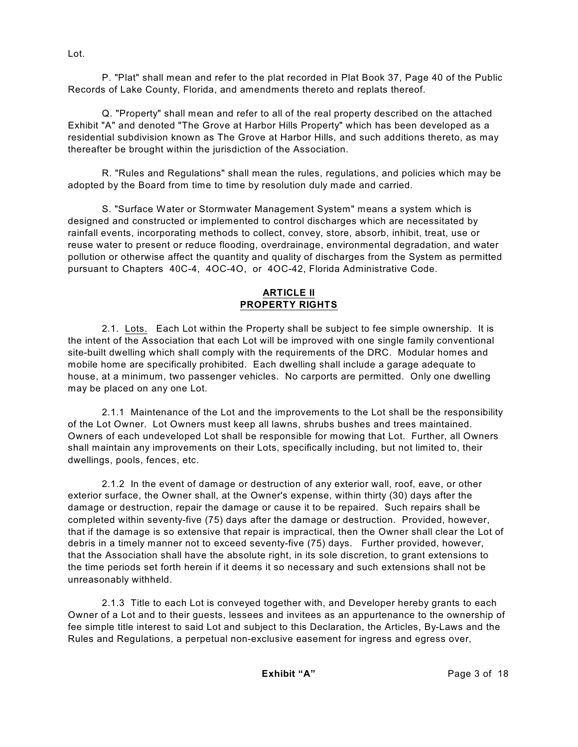P. "Plat" shall mean and refer to the plat recorded in Plat Book 37, Page 40 of the Public Records of Lake County, Florida, and amendments thereto and replats thereof.

Q. "Property" shall mean and refer to all of the real property described on the attached Exhibit "A" and denoted "The Grove at Harbor Hills Property" which has been developed as a residential subdivision known as The Grove at Harbor Hills, and such additions thereto, as may thereafter be brought within the jurisdiction of the Association.

R. "Rules and Regulations" shall mean the rules, regulations, and policies which may be adopted by the Board from time to time by resolution duly made and carried.

S. "Surface Water or Stormwater Management System" means a system which is designed and constructed or implemented to control discharges which are necessitated by rainfall events, incorporating methods to collect, convey, store, absorb, inhibit, treat, use or reuse water to present or reduce flooding, overdrainage, environmental degradation, and water pollution or otherwise affect the quantity and quality of discharges from the System as permitted pursuant to Chapters 40C-4, 4OC-4O, or 4OC-42, Florida Administrative Code.

#### **ARTICLE II PROPERTY RIGHTS**

2.1. Lots. Each Lot within the Property shall be subject to fee simple ownership. It is the intent of the Association that each Lot will be improved with one single family conventional site-built dwelling which shall comply with the requirements of the DRC. Modular homes and mobile home are specifically prohibited. Each dwelling shall include a garage adequate to house, at a minimum, two passenger vehicles. No carports are permitted. Only one dwelling may be placed on any one Lot.

2.1.1 Maintenance of the Lot and the improvements to the Lot shall be the responsibility of the Lot Owner. Lot Owners must keep all lawns, shrubs bushes and trees maintained. Owners of each undeveloped Lot shall be responsible for mowing that Lot. Further, all Owners shall maintain any improvements on their Lots, specifically including, but not limited to, their dwellings, pools, fences, etc.

2.1.2 In the event of damage or destruction of any exterior wall, roof, eave, or other exterior surface, the Owner shall, at the Owner's expense, within thirty (30) days after the damage or destruction, repair the damage or cause it to be repaired. Such repairs shall be completed within seventy-five (75) days after the damage or destruction. Provided, however, that if the damage is so extensive that repair is impractical, then the Owner shall clear the Lot of debris in a timely manner not to exceed seventy-five (75) days. Further provided, however, that the Association shall have the absolute right, in its sole discretion, to grant extensions to the time periods set forth herein if it deems it so necessary and such extensions shall not be unreasonably withheld.

2.1.3 Title to each Lot is conveyed together with, and Developer hereby grants to each Owner of a Lot and to their guests, lessees and invitees as an appurtenance to the ownership of fee simple title interest to said Lot and subject to this Declaration, the Articles, By-Laws and the Rules and Regulations, a perpetual non-exclusive easement for ingress and egress over,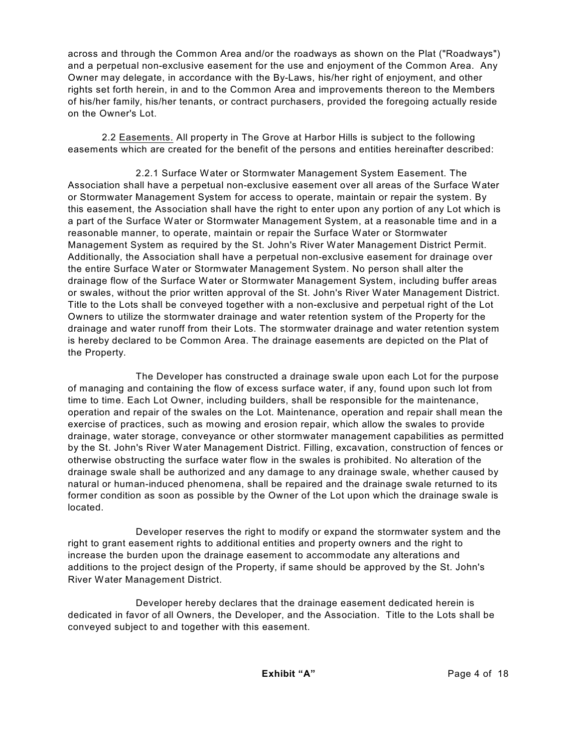across and through the Common Area and/or the roadways as shown on the Plat ("Roadways") and a perpetual non-exclusive easement for the use and enjoyment of the Common Area. Any Owner may delegate, in accordance with the By-Laws, his/her right of enjoyment, and other rights set forth herein, in and to the Common Area and improvements thereon to the Members of his/her family, his/her tenants, or contract purchasers, provided the foregoing actually reside on the Owner's Lot.

2.2 Easements. All property in The Grove at Harbor Hills is subject to the following easements which are created for the benefit of the persons and entities hereinafter described:

2.2.1 Surface Water or Stormwater Management System Easement. The Association shall have a perpetual non-exclusive easement over all areas of the Surface Water or Stormwater Management System for access to operate, maintain or repair the system. By this easement, the Association shall have the right to enter upon any portion of any Lot which is a part of the Surface Water or Stormwater Management System, at a reasonable time and in a reasonable manner, to operate, maintain or repair the Surface Water or Stormwater Management System as required by the St. John's River Water Management District Permit. Additionally, the Association shall have a perpetual non-exclusive easement for drainage over the entire Surface Water or Stormwater Management System. No person shall alter the drainage flow of the Surface Water or Stormwater Management System, including buffer areas or swales, without the prior written approval of the St. John's River Water Management District. Title to the Lots shall be conveyed together with a non-exclusive and perpetual right of the Lot Owners to utilize the stormwater drainage and water retention system of the Property for the drainage and water runoff from their Lots. The stormwater drainage and water retention system is hereby declared to be Common Area. The drainage easements are depicted on the Plat of the Property.

The Developer has constructed a drainage swale upon each Lot for the purpose of managing and containing the flow of excess surface water, if any, found upon such lot from time to time. Each Lot Owner, including builders, shall be responsible for the maintenance, operation and repair of the swales on the Lot. Maintenance, operation and repair shall mean the exercise of practices, such as mowing and erosion repair, which allow the swales to provide drainage, water storage, conveyance or other stormwater management capabilities as permitted by the St. John's River Water Management District. Filling, excavation, construction of fences or otherwise obstructing the surface water flow in the swales is prohibited. No alteration of the drainage swale shall be authorized and any damage to any drainage swale, whether caused by natural or human-induced phenomena, shall be repaired and the drainage swale returned to its former condition as soon as possible by the Owner of the Lot upon which the drainage swale is located.

Developer reserves the right to modify or expand the stormwater system and the right to grant easement rights to additional entities and property owners and the right to increase the burden upon the drainage easement to accommodate any alterations and additions to the project design of the Property, if same should be approved by the St. John's River Water Management District.

Developer hereby declares that the drainage easement dedicated herein is dedicated in favor of all Owners, the Developer, and the Association. Title to the Lots shall be conveyed subject to and together with this easement.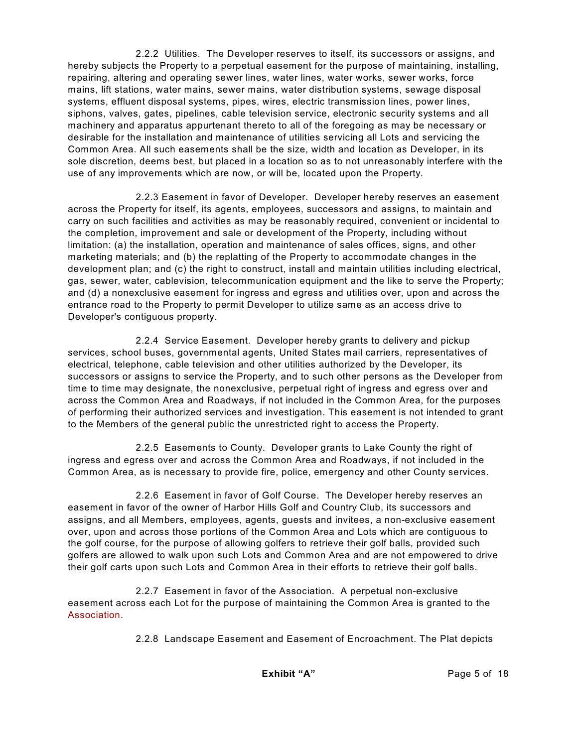2.2.2 Utilities. The Developer reserves to itself, its successors or assigns, and hereby subjects the Property to a perpetual easement for the purpose of maintaining, installing, repairing, altering and operating sewer lines, water lines, water works, sewer works, force mains, lift stations, water mains, sewer mains, water distribution systems, sewage disposal systems, effluent disposal systems, pipes, wires, electric transmission lines, power lines, siphons, valves, gates, pipelines, cable television service, electronic security systems and all machinery and apparatus appurtenant thereto to all of the foregoing as may be necessary or desirable for the installation and maintenance of utilities servicing all Lots and servicing the Common Area. All such easements shall be the size, width and location as Developer, in its sole discretion, deems best, but placed in a location so as to not unreasonably interfere with the use of any improvements which are now, or will be, located upon the Property.

2.2.3 Easement in favor of Developer. Developer hereby reserves an easement across the Property for itself, its agents, employees, successors and assigns, to maintain and carry on such facilities and activities as may be reasonably required, convenient or incidental to the completion, improvement and sale or development of the Property, including without limitation: (a) the installation, operation and maintenance of sales offices, signs, and other marketing materials; and (b) the replatting of the Property to accommodate changes in the development plan; and (c) the right to construct, install and maintain utilities including electrical, gas, sewer, water, cablevision, telecommunication equipment and the like to serve the Property; and (d) a nonexclusive easement for ingress and egress and utilities over, upon and across the entrance road to the Property to permit Developer to utilize same as an access drive to Developer's contiguous property.

2.2.4 Service Easement. Developer hereby grants to delivery and pickup services, school buses, governmental agents, United States mail carriers, representatives of electrical, telephone, cable television and other utilities authorized by the Developer, its successors or assigns to service the Property, and to such other persons as the Developer from time to time may designate, the nonexclusive, perpetual right of ingress and egress over and across the Common Area and Roadways, if not included in the Common Area, for the purposes of performing their authorized services and investigation. This easement is not intended to grant to the Members of the general public the unrestricted right to access the Property.

2.2.5 Easements to County. Developer grants to Lake County the right of ingress and egress over and across the Common Area and Roadways, if not included in the Common Area, as is necessary to provide fire, police, emergency and other County services.

2.2.6 Easement in favor of Golf Course. The Developer hereby reserves an easement in favor of the owner of Harbor Hills Golf and Country Club, its successors and assigns, and all Members, employees, agents, guests and invitees, a non-exclusive easement over, upon and across those portions of the Common Area and Lots which are contiguous to the golf course, for the purpose of allowing golfers to retrieve their golf balls, provided such golfers are allowed to walk upon such Lots and Common Area and are not empowered to drive their golf carts upon such Lots and Common Area in their efforts to retrieve their golf balls.

2.2.7 Easement in favor of the Association. A perpetual non-exclusive easement across each Lot for the purpose of maintaining the Common Area is granted to the Association.

2.2.8 Landscape Easement and Easement of Encroachment. The Plat depicts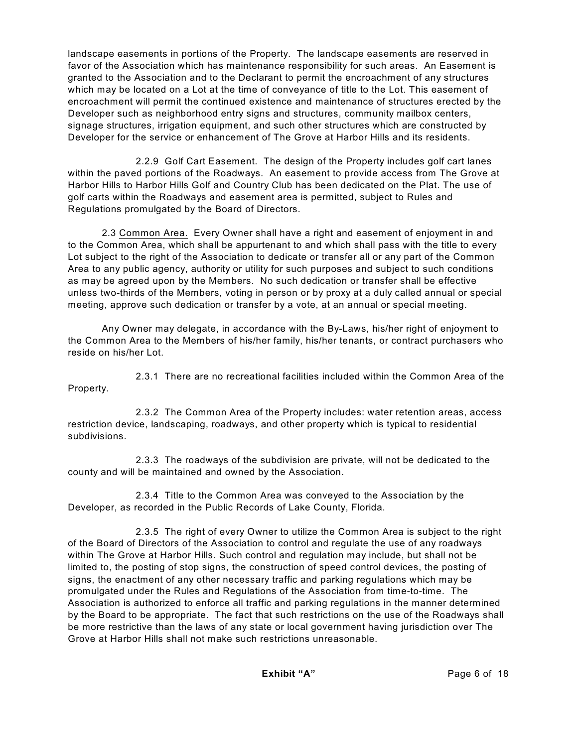landscape easements in portions of the Property. The landscape easements are reserved in favor of the Association which has maintenance responsibility for such areas. An Easement is granted to the Association and to the Declarant to permit the encroachment of any structures which may be located on a Lot at the time of conveyance of title to the Lot. This easement of encroachment will permit the continued existence and maintenance of structures erected by the Developer such as neighborhood entry signs and structures, community mailbox centers, signage structures, irrigation equipment, and such other structures which are constructed by Developer for the service or enhancement of The Grove at Harbor Hills and its residents.

2.2.9 Golf Cart Easement. The design of the Property includes golf cart lanes within the paved portions of the Roadways. An easement to provide access from The Grove at Harbor Hills to Harbor Hills Golf and Country Club has been dedicated on the Plat. The use of golf carts within the Roadways and easement area is permitted, subject to Rules and Regulations promulgated by the Board of Directors.

2.3 Common Area. Every Owner shall have a right and easement of enjoyment in and to the Common Area, which shall be appurtenant to and which shall pass with the title to every Lot subject to the right of the Association to dedicate or transfer all or any part of the Common Area to any public agency, authority or utility for such purposes and subject to such conditions as may be agreed upon by the Members. No such dedication or transfer shall be effective unless two-thirds of the Members, voting in person or by proxy at a duly called annual or special meeting, approve such dedication or transfer by a vote, at an annual or special meeting.

Any Owner may delegate, in accordance with the By-Laws, his/her right of enjoyment to the Common Area to the Members of his/her family, his/her tenants, or contract purchasers who reside on his/her Lot.

2.3.1 There are no recreational facilities included within the Common Area of the Property.

2.3.2 The Common Area of the Property includes: water retention areas, access restriction device, landscaping, roadways, and other property which is typical to residential subdivisions.

2.3.3 The roadways of the subdivision are private, will not be dedicated to the county and will be maintained and owned by the Association.

2.3.4 Title to the Common Area was conveyed to the Association by the Developer, as recorded in the Public Records of Lake County, Florida.

2.3.5 The right of every Owner to utilize the Common Area is subject to the right of the Board of Directors of the Association to control and regulate the use of any roadways within The Grove at Harbor Hills. Such control and regulation may include, but shall not be limited to, the posting of stop signs, the construction of speed control devices, the posting of signs, the enactment of any other necessary traffic and parking regulations which may be promulgated under the Rules and Regulations of the Association from time-to-time. The Association is authorized to enforce all traffic and parking regulations in the manner determined by the Board to be appropriate. The fact that such restrictions on the use of the Roadways shall be more restrictive than the laws of any state or local government having jurisdiction over The Grove at Harbor Hills shall not make such restrictions unreasonable.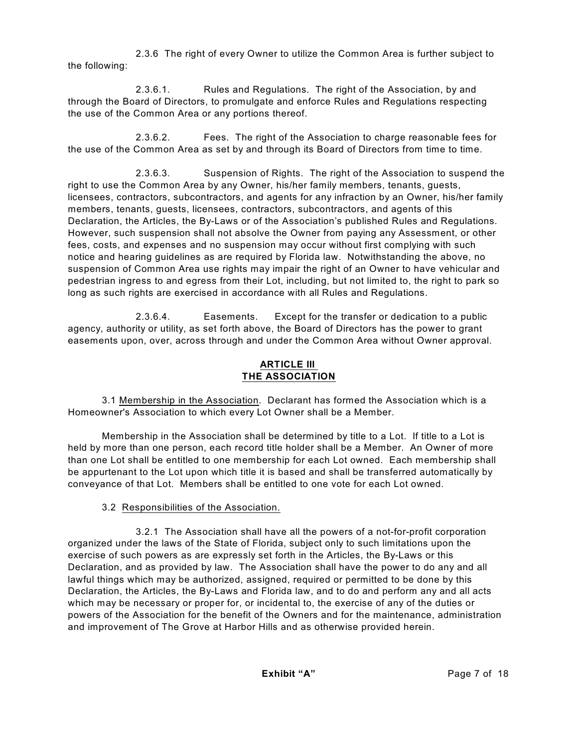2.3.6 The right of every Owner to utilize the Common Area is further subject to the following:

2.3.6.1. Rules and Regulations. The right of the Association, by and through the Board of Directors, to promulgate and enforce Rules and Regulations respecting the use of the Common Area or any portions thereof.

2.3.6.2. Fees. The right of the Association to charge reasonable fees for the use of the Common Area as set by and through its Board of Directors from time to time.

2.3.6.3. Suspension of Rights. The right of the Association to suspend the right to use the Common Area by any Owner, his/her family members, tenants, guests, licensees, contractors, subcontractors, and agents for any infraction by an Owner, his/her family members, tenants, guests, licensees, contractors, subcontractors, and agents of this Declaration, the Articles, the By-Laws or of the Association's published Rules and Regulations. However, such suspension shall not absolve the Owner from paying any Assessment, or other fees, costs, and expenses and no suspension may occur without first complying with such notice and hearing guidelines as are required by Florida law. Notwithstanding the above, no suspension of Common Area use rights may impair the right of an Owner to have vehicular and pedestrian ingress to and egress from their Lot, including, but not limited to, the right to park so long as such rights are exercised in accordance with all Rules and Regulations.

2.3.6.4. Easements. Except for the transfer or dedication to a public agency, authority or utility, as set forth above, the Board of Directors has the power to grant easements upon, over, across through and under the Common Area without Owner approval.

## **ARTICLE III THE ASSOCIATION**

3.1 Membership in the Association. Declarant has formed the Association which is a Homeowner's Association to which every Lot Owner shall be a Member.

Membership in the Association shall be determined by title to a Lot. If title to a Lot is held by more than one person, each record title holder shall be a Member. An Owner of more than one Lot shall be entitled to one membership for each Lot owned. Each membership shall be appurtenant to the Lot upon which title it is based and shall be transferred automatically by conveyance of that Lot. Members shall be entitled to one vote for each Lot owned.

# 3.2 Responsibilities of the Association.

3.2.1 The Association shall have all the powers of a not-for-profit corporation organized under the laws of the State of Florida, subject only to such limitations upon the exercise of such powers as are expressly set forth in the Articles, the By-Laws or this Declaration, and as provided by law. The Association shall have the power to do any and all lawful things which may be authorized, assigned, required or permitted to be done by this Declaration, the Articles, the By-Laws and Florida law, and to do and perform any and all acts which may be necessary or proper for, or incidental to, the exercise of any of the duties or powers of the Association for the benefit of the Owners and for the maintenance, administration and improvement of The Grove at Harbor Hills and as otherwise provided herein.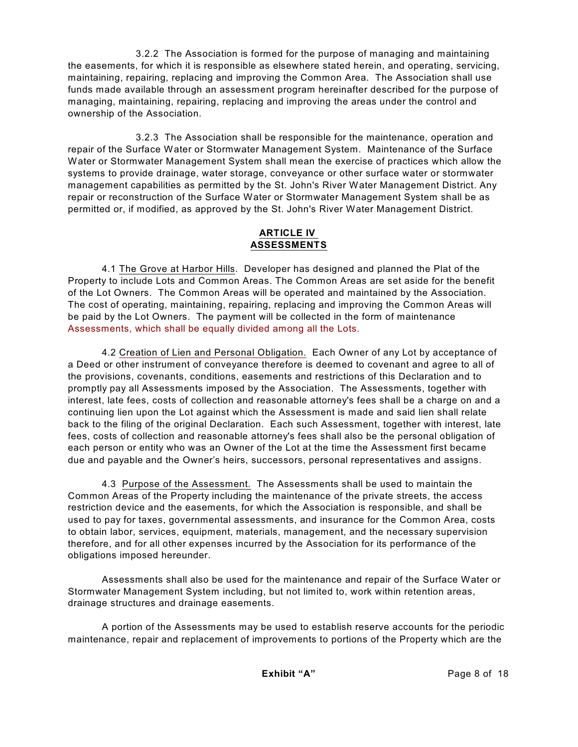3.2.2 The Association is formed for the purpose of managing and maintaining the easements, for which it is responsible as elsewhere stated herein, and operating, servicing, maintaining, repairing, replacing and improving the Common Area. The Association shall use funds made available through an assessment program hereinafter described for the purpose of managing, maintaining, repairing, replacing and improving the areas under the control and ownership of the Association.

3.2.3 The Association shall be responsible for the maintenance, operation and repair of the Surface Water or Stormwater Management System. Maintenance of the Surface Water or Stormwater Management System shall mean the exercise of practices which allow the systems to provide drainage, water storage, conveyance or other surface water or stormwater management capabilities as permitted by the St. John's River Water Management District. Any repair or reconstruction of the Surface Water or Stormwater Management System shall be as permitted or, if modified, as approved by the St. John's River Water Management District.

#### **ARTICLE IV ASSESSMENTS**

4.1 The Grove at Harbor Hills. Developer has designed and planned the Plat of the Property to include Lots and Common Areas. The Common Areas are set aside for the benefit of the Lot Owners. The Common Areas will be operated and maintained by the Association. The cost of operating, maintaining, repairing, replacing and improving the Common Areas will be paid by the Lot Owners. The payment will be collected in the form of maintenance Assessments, which shall be equally divided among all the Lots.

4.2 Creation of Lien and Personal Obligation. Each Owner of any Lot by acceptance of a Deed or other instrument of conveyance therefore is deemed to covenant and agree to all of the provisions, covenants, conditions, easements and restrictions of this Declaration and to promptly pay all Assessments imposed by the Association. The Assessments, together with interest, late fees, costs of collection and reasonable attorney's fees shall be a charge on and a continuing lien upon the Lot against which the Assessment is made and said lien shall relate back to the filing of the original Declaration. Each such Assessment, together with interest, late fees, costs of collection and reasonable attorney's fees shall also be the personal obligation of each person or entity who was an Owner of the Lot at the time the Assessment first became due and payable and the Owner's heirs, successors, personal representatives and assigns.

4.3 Purpose of the Assessment. The Assessments shall be used to maintain the Common Areas of the Property including the maintenance of the private streets, the access restriction device and the easements, for which the Association is responsible, and shall be used to pay for taxes, governmental assessments, and insurance for the Common Area, costs to obtain labor, services, equipment, materials, management, and the necessary supervision therefore, and for all other expenses incurred by the Association for its performance of the obligations imposed hereunder.

Assessments shall also be used for the maintenance and repair of the Surface Water or Stormwater Management System including, but not limited to, work within retention areas, drainage structures and drainage easements.

A portion of the Assessments may be used to establish reserve accounts for the periodic maintenance, repair and replacement of improvements to portions of the Property which are the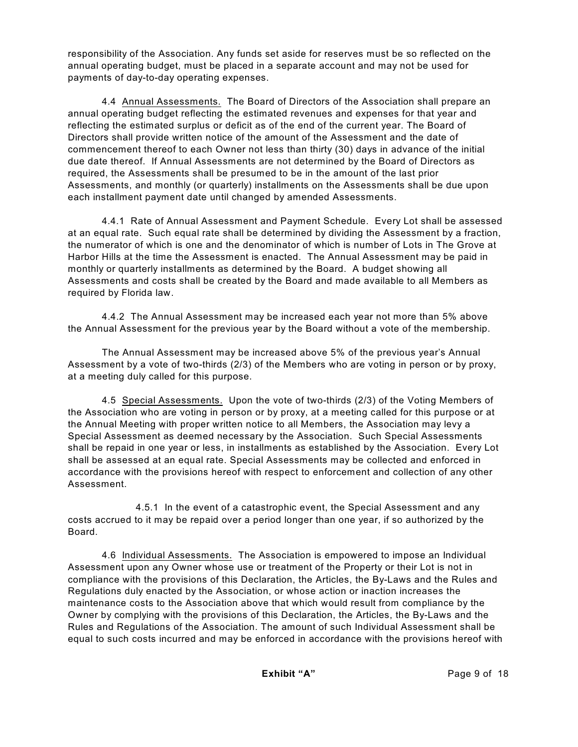responsibility of the Association. Any funds set aside for reserves must be so reflected on the annual operating budget, must be placed in a separate account and may not be used for payments of day-to-day operating expenses.

4.4 Annual Assessments. The Board of Directors of the Association shall prepare an annual operating budget reflecting the estimated revenues and expenses for that year and reflecting the estimated surplus or deficit as of the end of the current year. The Board of Directors shall provide written notice of the amount of the Assessment and the date of commencement thereof to each Owner not less than thirty (30) days in advance of the initial due date thereof. If Annual Assessments are not determined by the Board of Directors as required, the Assessments shall be presumed to be in the amount of the last prior Assessments, and monthly (or quarterly) installments on the Assessments shall be due upon each installment payment date until changed by amended Assessments.

4.4.1 Rate of Annual Assessment and Payment Schedule. Every Lot shall be assessed at an equal rate. Such equal rate shall be determined by dividing the Assessment by a fraction, the numerator of which is one and the denominator of which is number of Lots in The Grove at Harbor Hills at the time the Assessment is enacted. The Annual Assessment may be paid in monthly or quarterly installments as determined by the Board. A budget showing all Assessments and costs shall be created by the Board and made available to all Members as required by Florida law.

4.4.2 The Annual Assessment may be increased each year not more than 5% above the Annual Assessment for the previous year by the Board without a vote of the membership.

The Annual Assessment may be increased above 5% of the previous year's Annual Assessment by a vote of two-thirds (2/3) of the Members who are voting in person or by proxy, at a meeting duly called for this purpose.

4.5 Special Assessments. Upon the vote of two-thirds (2/3) of the Voting Members of the Association who are voting in person or by proxy, at a meeting called for this purpose or at the Annual Meeting with proper written notice to all Members, the Association may levy a Special Assessment as deemed necessary by the Association. Such Special Assessments shall be repaid in one year or less, in installments as established by the Association. Every Lot shall be assessed at an equal rate. Special Assessments may be collected and enforced in accordance with the provisions hereof with respect to enforcement and collection of any other Assessment.

4.5.1 In the event of a catastrophic event, the Special Assessment and any costs accrued to it may be repaid over a period longer than one year, if so authorized by the Board.

4.6 Individual Assessments. The Association is empowered to impose an Individual Assessment upon any Owner whose use or treatment of the Property or their Lot is not in compliance with the provisions of this Declaration, the Articles, the By-Laws and the Rules and Regulations duly enacted by the Association, or whose action or inaction increases the maintenance costs to the Association above that which would result from compliance by the Owner by complying with the provisions of this Declaration, the Articles, the By-Laws and the Rules and Regulations of the Association. The amount of such Individual Assessment shall be equal to such costs incurred and may be enforced in accordance with the provisions hereof with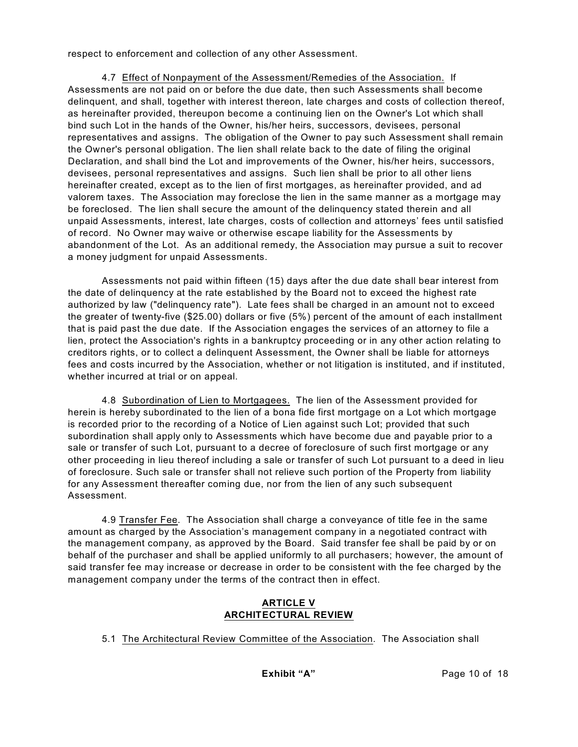respect to enforcement and collection of any other Assessment.

4.7 Effect of Nonpayment of the Assessment/Remedies of the Association. If Assessments are not paid on or before the due date, then such Assessments shall become delinquent, and shall, together with interest thereon, late charges and costs of collection thereof, as hereinafter provided, thereupon become a continuing lien on the Owner's Lot which shall bind such Lot in the hands of the Owner, his/her heirs, successors, devisees, personal representatives and assigns. The obligation of the Owner to pay such Assessment shall remain the Owner's personal obligation. The lien shall relate back to the date of filing the original Declaration, and shall bind the Lot and improvements of the Owner, his/her heirs, successors, devisees, personal representatives and assigns. Such lien shall be prior to all other liens hereinafter created, except as to the lien of first mortgages, as hereinafter provided, and ad valorem taxes. The Association may foreclose the lien in the same manner as a mortgage may be foreclosed. The lien shall secure the amount of the delinquency stated therein and all unpaid Assessments, interest, late charges, costs of collection and attorneys' fees until satisfied of record. No Owner may waive or otherwise escape liability for the Assessments by abandonment of the Lot. As an additional remedy, the Association may pursue a suit to recover a money judgment for unpaid Assessments.

Assessments not paid within fifteen (15) days after the due date shall bear interest from the date of delinquency at the rate established by the Board not to exceed the highest rate authorized by law ("delinquency rate"). Late fees shall be charged in an amount not to exceed the greater of twenty-five (\$25.00) dollars or five (5%) percent of the amount of each installment that is paid past the due date. If the Association engages the services of an attorney to file a lien, protect the Association's rights in a bankruptcy proceeding or in any other action relating to creditors rights, or to collect a delinquent Assessment, the Owner shall be liable for attorneys fees and costs incurred by the Association, whether or not litigation is instituted, and if instituted, whether incurred at trial or on appeal.

4.8 Subordination of Lien to Mortgagees. The lien of the Assessment provided for herein is hereby subordinated to the lien of a bona fide first mortgage on a Lot which mortgage is recorded prior to the recording of a Notice of Lien against such Lot; provided that such subordination shall apply only to Assessments which have become due and payable prior to a sale or transfer of such Lot, pursuant to a decree of foreclosure of such first mortgage or any other proceeding in lieu thereof including a sale or transfer of such Lot pursuant to a deed in lieu of foreclosure. Such sale or transfer shall not relieve such portion of the Property from liability for any Assessment thereafter coming due, nor from the lien of any such subsequent Assessment.

4.9 Transfer Fee. The Association shall charge a conveyance of title fee in the same amount as charged by the Association's management company in a negotiated contract with the management company, as approved by the Board. Said transfer fee shall be paid by or on behalf of the purchaser and shall be applied uniformly to all purchasers; however, the amount of said transfer fee may increase or decrease in order to be consistent with the fee charged by the management company under the terms of the contract then in effect.

## **ARTICLE V ARCHITECTURAL REVIEW**

5.1 The Architectural Review Committee of the Association. The Association shall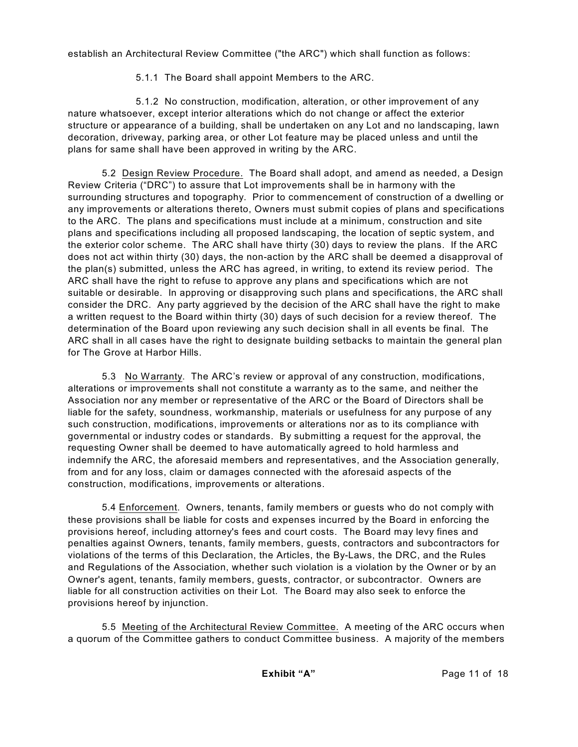establish an Architectural Review Committee ("the ARC") which shall function as follows:

5.1.1 The Board shall appoint Members to the ARC.

5.1.2 No construction, modification, alteration, or other improvement of any nature whatsoever, except interior alterations which do not change or affect the exterior structure or appearance of a building, shall be undertaken on any Lot and no landscaping, lawn decoration, driveway, parking area, or other Lot feature may be placed unless and until the plans for same shall have been approved in writing by the ARC.

5.2 Design Review Procedure. The Board shall adopt, and amend as needed, a Design Review Criteria ("DRC") to assure that Lot improvements shall be in harmony with the surrounding structures and topography. Prior to commencement of construction of a dwelling or any improvements or alterations thereto, Owners must submit copies of plans and specifications to the ARC. The plans and specifications must include at a minimum, construction and site plans and specifications including all proposed landscaping, the location of septic system, and the exterior color scheme. The ARC shall have thirty (30) days to review the plans. If the ARC does not act within thirty (30) days, the non-action by the ARC shall be deemed a disapproval of the plan(s) submitted, unless the ARC has agreed, in writing, to extend its review period. The ARC shall have the right to refuse to approve any plans and specifications which are not suitable or desirable. In approving or disapproving such plans and specifications, the ARC shall consider the DRC. Any party aggrieved by the decision of the ARC shall have the right to make a written request to the Board within thirty (30) days of such decision for a review thereof. The determination of the Board upon reviewing any such decision shall in all events be final. The ARC shall in all cases have the right to designate building setbacks to maintain the general plan for The Grove at Harbor Hills.

5.3 No Warranty. The ARC's review or approval of any construction, modifications, alterations or improvements shall not constitute a warranty as to the same, and neither the Association nor any member or representative of the ARC or the Board of Directors shall be liable for the safety, soundness, workmanship, materials or usefulness for any purpose of any such construction, modifications, improvements or alterations nor as to its compliance with governmental or industry codes or standards. By submitting a request for the approval, the requesting Owner shall be deemed to have automatically agreed to hold harmless and indemnify the ARC, the aforesaid members and representatives, and the Association generally, from and for any loss, claim or damages connected with the aforesaid aspects of the construction, modifications, improvements or alterations.

5.4 Enforcement. Owners, tenants, family members or guests who do not comply with these provisions shall be liable for costs and expenses incurred by the Board in enforcing the provisions hereof, including attorney's fees and court costs. The Board may levy fines and penalties against Owners, tenants, family members, guests, contractors and subcontractors for violations of the terms of this Declaration, the Articles, the By-Laws, the DRC, and the Rules and Regulations of the Association, whether such violation is a violation by the Owner or by an Owner's agent, tenants, family members, guests, contractor, or subcontractor. Owners are liable for all construction activities on their Lot. The Board may also seek to enforce the provisions hereof by injunction.

5.5 Meeting of the Architectural Review Committee. A meeting of the ARC occurs when a quorum of the Committee gathers to conduct Committee business. A majority of the members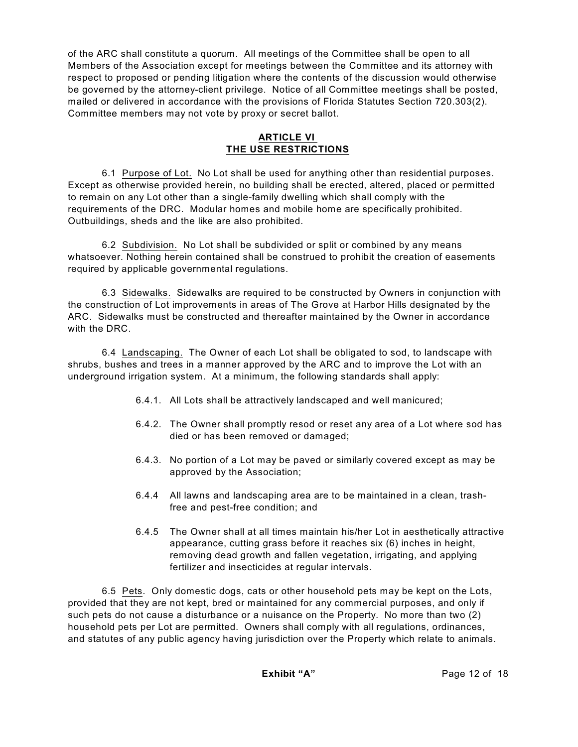of the ARC shall constitute a quorum. All meetings of the Committee shall be open to all Members of the Association except for meetings between the Committee and its attorney with respect to proposed or pending litigation where the contents of the discussion would otherwise be governed by the attorney-client privilege. Notice of all Committee meetings shall be posted, mailed or delivered in accordance with the provisions of Florida Statutes Section 720.303(2). Committee members may not vote by proxy or secret ballot.

## **ARTICLE VI THE USE RESTRICTIONS**

6.1 Purpose of Lot. No Lot shall be used for anything other than residential purposes. Except as otherwise provided herein, no building shall be erected, altered, placed or permitted to remain on any Lot other than a single-family dwelling which shall comply with the requirements of the DRC. Modular homes and mobile home are specifically prohibited. Outbuildings, sheds and the like are also prohibited.

6.2 Subdivision. No Lot shall be subdivided or split or combined by any means whatsoever. Nothing herein contained shall be construed to prohibit the creation of easements required by applicable governmental regulations.

6.3 Sidewalks. Sidewalks are required to be constructed by Owners in conjunction with the construction of Lot improvements in areas of The Grove at Harbor Hills designated by the ARC. Sidewalks must be constructed and thereafter maintained by the Owner in accordance with the DRC.

6.4 Landscaping. The Owner of each Lot shall be obligated to sod, to landscape with shrubs, bushes and trees in a manner approved by the ARC and to improve the Lot with an underground irrigation system. At a minimum, the following standards shall apply:

- 6.4.1. All Lots shall be attractively landscaped and well manicured;
- 6.4.2. The Owner shall promptly resod or reset any area of a Lot where sod has died or has been removed or damaged;
- 6.4.3. No portion of a Lot may be paved or similarly covered except as may be approved by the Association;
- 6.4.4 All lawns and landscaping area are to be maintained in a clean, trashfree and pest-free condition; and
- 6.4.5 The Owner shall at all times maintain his/her Lot in aesthetically attractive appearance, cutting grass before it reaches six (6) inches in height, removing dead growth and fallen vegetation, irrigating, and applying fertilizer and insecticides at regular intervals.

6.5 Pets. Only domestic dogs, cats or other household pets may be kept on the Lots, provided that they are not kept, bred or maintained for any commercial purposes, and only if such pets do not cause a disturbance or a nuisance on the Property. No more than two (2) household pets per Lot are permitted. Owners shall comply with all regulations, ordinances, and statutes of any public agency having jurisdiction over the Property which relate to animals.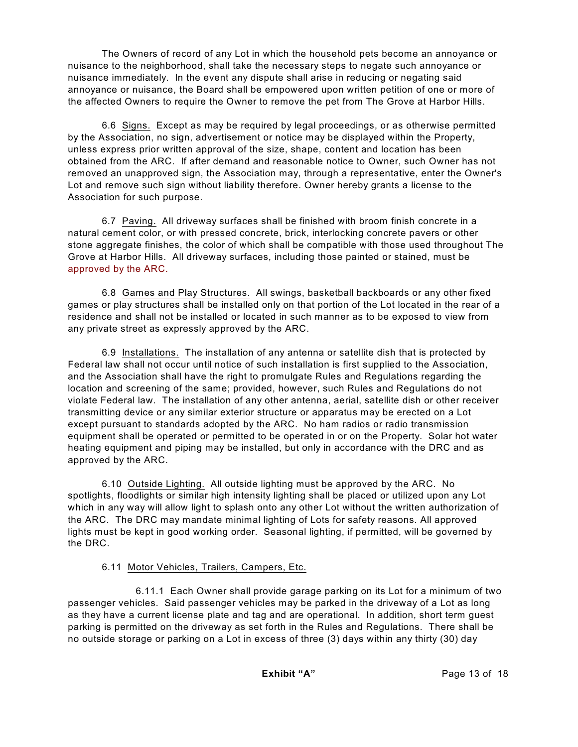The Owners of record of any Lot in which the household pets become an annoyance or nuisance to the neighborhood, shall take the necessary steps to negate such annoyance or nuisance immediately. In the event any dispute shall arise in reducing or negating said annoyance or nuisance, the Board shall be empowered upon written petition of one or more of the affected Owners to require the Owner to remove the pet from The Grove at Harbor Hills.

6.6 Signs. Except as may be required by legal proceedings, or as otherwise permitted by the Association, no sign, advertisement or notice may be displayed within the Property, unless express prior written approval of the size, shape, content and location has been obtained from the ARC. If after demand and reasonable notice to Owner, such Owner has not removed an unapproved sign, the Association may, through a representative, enter the Owner's Lot and remove such sign without liability therefore. Owner hereby grants a license to the Association for such purpose.

6.7 Paving. All driveway surfaces shall be finished with broom finish concrete in a natural cement color, or with pressed concrete, brick, interlocking concrete pavers or other stone aggregate finishes, the color of which shall be compatible with those used throughout The Grove at Harbor Hills. All driveway surfaces, including those painted or stained, must be approved by the ARC.

6.8 Games and Play Structures. All swings, basketball backboards or any other fixed games or play structures shall be installed only on that portion of the Lot located in the rear of a residence and shall not be installed or located in such manner as to be exposed to view from any private street as expressly approved by the ARC.

6.9 Installations. The installation of any antenna or satellite dish that is protected by Federal law shall not occur until notice of such installation is first supplied to the Association, and the Association shall have the right to promulgate Rules and Regulations regarding the location and screening of the same; provided, however, such Rules and Regulations do not violate Federal law. The installation of any other antenna, aerial, satellite dish or other receiver transmitting device or any similar exterior structure or apparatus may be erected on a Lot except pursuant to standards adopted by the ARC. No ham radios or radio transmission equipment shall be operated or permitted to be operated in or on the Property. Solar hot water heating equipment and piping may be installed, but only in accordance with the DRC and as approved by the ARC.

6.10 Outside Lighting. All outside lighting must be approved by the ARC. No spotlights, floodlights or similar high intensity lighting shall be placed or utilized upon any Lot which in any way will allow light to splash onto any other Lot without the written authorization of the ARC. The DRC may mandate minimal lighting of Lots for safety reasons. All approved lights must be kept in good working order. Seasonal lighting, if permitted, will be governed by the DRC.

# 6.11 Motor Vehicles, Trailers, Campers, Etc.

6.11.1 Each Owner shall provide garage parking on its Lot for a minimum of two passenger vehicles. Said passenger vehicles may be parked in the driveway of a Lot as long as they have a current license plate and tag and are operational. In addition, short term guest parking is permitted on the driveway as set forth in the Rules and Regulations. There shall be no outside storage or parking on a Lot in excess of three (3) days within any thirty (30) day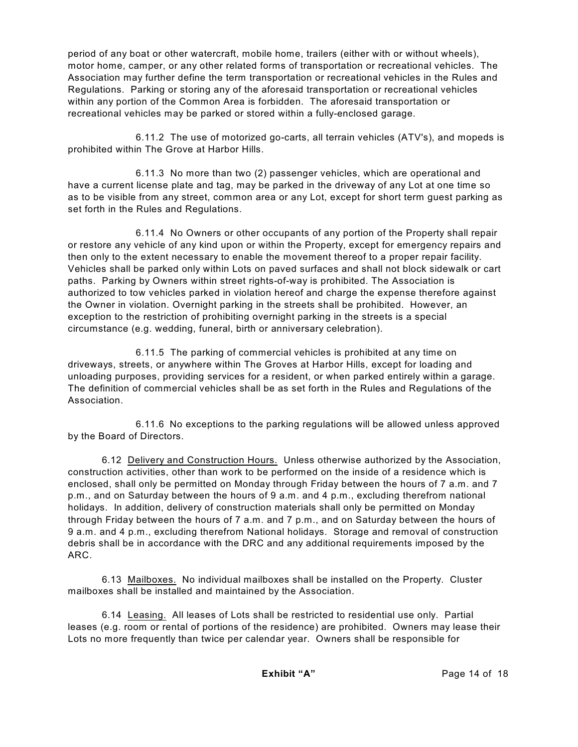period of any boat or other watercraft, mobile home, trailers (either with or without wheels), motor home, camper, or any other related forms of transportation or recreational vehicles. The Association may further define the term transportation or recreational vehicles in the Rules and Regulations. Parking or storing any of the aforesaid transportation or recreational vehicles within any portion of the Common Area is forbidden. The aforesaid transportation or recreational vehicles may be parked or stored within a fully-enclosed garage.

6.11.2 The use of motorized go-carts, all terrain vehicles (ATV's), and mopeds is prohibited within The Grove at Harbor Hills.

6.11.3 No more than two (2) passenger vehicles, which are operational and have a current license plate and tag, may be parked in the driveway of any Lot at one time so as to be visible from any street, common area or any Lot, except for short term guest parking as set forth in the Rules and Regulations.

6.11.4 No Owners or other occupants of any portion of the Property shall repair or restore any vehicle of any kind upon or within the Property, except for emergency repairs and then only to the extent necessary to enable the movement thereof to a proper repair facility. Vehicles shall be parked only within Lots on paved surfaces and shall not block sidewalk or cart paths. Parking by Owners within street rights-of-way is prohibited. The Association is authorized to tow vehicles parked in violation hereof and charge the expense therefore against the Owner in violation. Overnight parking in the streets shall be prohibited. However, an exception to the restriction of prohibiting overnight parking in the streets is a special circumstance (e.g. wedding, funeral, birth or anniversary celebration).

6.11.5 The parking of commercial vehicles is prohibited at any time on driveways, streets, or anywhere within The Groves at Harbor Hills, except for loading and unloading purposes, providing services for a resident, or when parked entirely within a garage. The definition of commercial vehicles shall be as set forth in the Rules and Regulations of the Association.

6.11.6 No exceptions to the parking regulations will be allowed unless approved by the Board of Directors.

6.12 Delivery and Construction Hours. Unless otherwise authorized by the Association, construction activities, other than work to be performed on the inside of a residence which is enclosed, shall only be permitted on Monday through Friday between the hours of 7 a.m. and 7 p.m., and on Saturday between the hours of 9 a.m. and 4 p.m., excluding therefrom national holidays. In addition, delivery of construction materials shall only be permitted on Monday through Friday between the hours of 7 a.m. and 7 p.m., and on Saturday between the hours of 9 a.m. and 4 p.m., excluding therefrom National holidays. Storage and removal of construction debris shall be in accordance with the DRC and any additional requirements imposed by the ARC.

6.13 Mailboxes. No individual mailboxes shall be installed on the Property. Cluster mailboxes shall be installed and maintained by the Association.

6.14 Leasing. All leases of Lots shall be restricted to residential use only. Partial leases (e.g. room or rental of portions of the residence) are prohibited. Owners may lease their Lots no more frequently than twice per calendar year. Owners shall be responsible for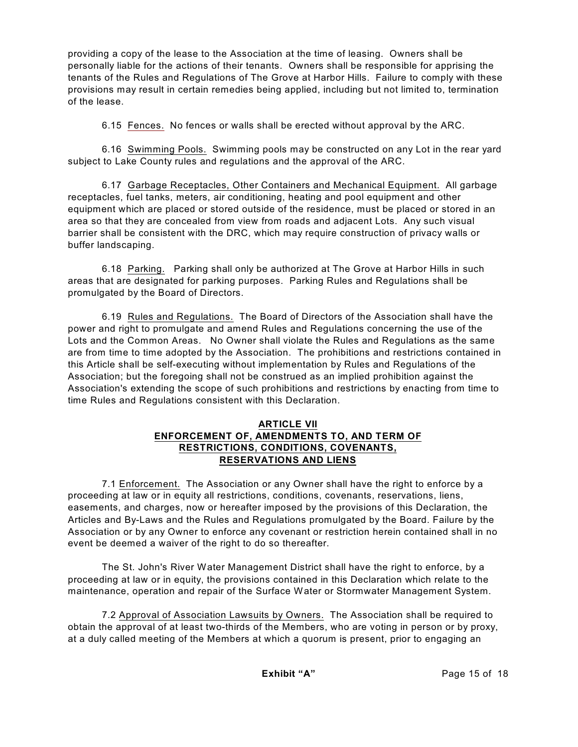providing a copy of the lease to the Association at the time of leasing. Owners shall be personally liable for the actions of their tenants. Owners shall be responsible for apprising the tenants of the Rules and Regulations of The Grove at Harbor Hills. Failure to comply with these provisions may result in certain remedies being applied, including but not limited to, termination of the lease.

6.15 Fences. No fences or walls shall be erected without approval by the ARC.

6.16 Swimming Pools. Swimming pools may be constructed on any Lot in the rear yard subject to Lake County rules and regulations and the approval of the ARC.

6.17 Garbage Receptacles, Other Containers and Mechanical Equipment. All garbage receptacles, fuel tanks, meters, air conditioning, heating and pool equipment and other equipment which are placed or stored outside of the residence, must be placed or stored in an area so that they are concealed from view from roads and adjacent Lots. Any such visual barrier shall be consistent with the DRC, which may require construction of privacy walls or buffer landscaping.

6.18 Parking. Parking shall only be authorized at The Grove at Harbor Hills in such areas that are designated for parking purposes. Parking Rules and Regulations shall be promulgated by the Board of Directors.

6.19 Rules and Regulations. The Board of Directors of the Association shall have the power and right to promulgate and amend Rules and Regulations concerning the use of the Lots and the Common Areas. No Owner shall violate the Rules and Regulations as the same are from time to time adopted by the Association. The prohibitions and restrictions contained in this Article shall be self-executing without implementation by Rules and Regulations of the Association; but the foregoing shall not be construed as an implied prohibition against the Association's extending the scope of such prohibitions and restrictions by enacting from time to time Rules and Regulations consistent with this Declaration.

## **ARTICLE VII ENFORCEMENT OF, AMENDMENTS TO, AND TERM OF RESTRICTIONS, CONDITIONS, COVENANTS, RESERVATIONS AND LIENS**

7.1 Enforcement. The Association or any Owner shall have the right to enforce by a proceeding at law or in equity all restrictions, conditions, covenants, reservations, liens, easements, and charges, now or hereafter imposed by the provisions of this Declaration, the Articles and By-Laws and the Rules and Regulations promulgated by the Board. Failure by the Association or by any Owner to enforce any covenant or restriction herein contained shall in no event be deemed a waiver of the right to do so thereafter.

The St. John's River Water Management District shall have the right to enforce, by a proceeding at law or in equity, the provisions contained in this Declaration which relate to the maintenance, operation and repair of the Surface Water or Stormwater Management System.

7.2 Approval of Association Lawsuits by Owners. The Association shall be required to obtain the approval of at least two-thirds of the Members, who are voting in person or by proxy, at a duly called meeting of the Members at which a quorum is present, prior to engaging an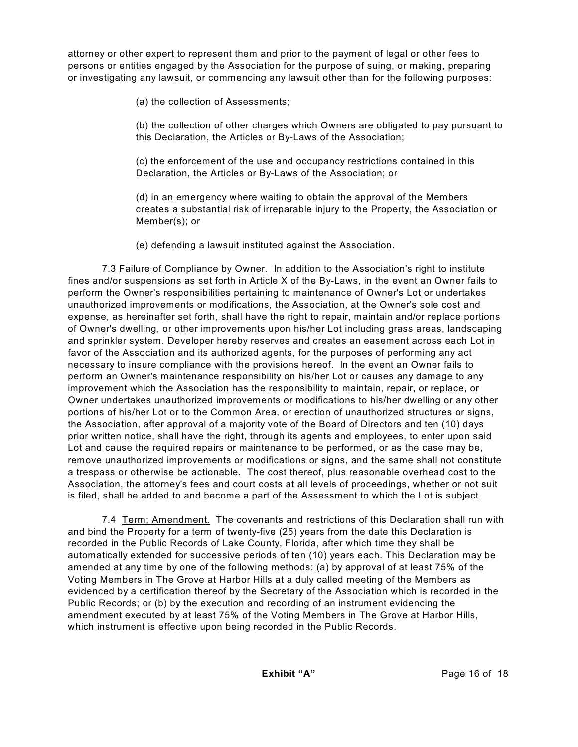attorney or other expert to represent them and prior to the payment of legal or other fees to persons or entities engaged by the Association for the purpose of suing, or making, preparing or investigating any lawsuit, or commencing any lawsuit other than for the following purposes:

(a) the collection of Assessments;

(b) the collection of other charges which Owners are obligated to pay pursuant to this Declaration, the Articles or By-Laws of the Association;

(c) the enforcement of the use and occupancy restrictions contained in this Declaration, the Articles or By-Laws of the Association; or

(d) in an emergency where waiting to obtain the approval of the Members creates a substantial risk of irreparable injury to the Property, the Association or Member(s); or

(e) defending a lawsuit instituted against the Association.

7.3 Failure of Compliance by Owner. In addition to the Association's right to institute fines and/or suspensions as set forth in Article X of the By-Laws, in the event an Owner fails to perform the Owner's responsibilities pertaining to maintenance of Owner's Lot or undertakes unauthorized improvements or modifications, the Association, at the Owner's sole cost and expense, as hereinafter set forth, shall have the right to repair, maintain and/or replace portions of Owner's dwelling, or other improvements upon his/her Lot including grass areas, landscaping and sprinkler system. Developer hereby reserves and creates an easement across each Lot in favor of the Association and its authorized agents, for the purposes of performing any act necessary to insure compliance with the provisions hereof. In the event an Owner fails to perform an Owner's maintenance responsibility on his/her Lot or causes any damage to any improvement which the Association has the responsibility to maintain, repair, or replace, or Owner undertakes unauthorized improvements or modifications to his/her dwelling or any other portions of his/her Lot or to the Common Area, or erection of unauthorized structures or signs, the Association, after approval of a majority vote of the Board of Directors and ten (10) days prior written notice, shall have the right, through its agents and employees, to enter upon said Lot and cause the required repairs or maintenance to be performed, or as the case may be, remove unauthorized improvements or modifications or signs, and the same shall not constitute a trespass or otherwise be actionable. The cost thereof, plus reasonable overhead cost to the Association, the attorney's fees and court costs at all levels of proceedings, whether or not suit is filed, shall be added to and become a part of the Assessment to which the Lot is subject.

7.4 Term; Amendment. The covenants and restrictions of this Declaration shall run with and bind the Property for a term of twenty-five (25) years from the date this Declaration is recorded in the Public Records of Lake County, Florida, after which time they shall be automatically extended for successive periods of ten (10) years each. This Declaration may be amended at any time by one of the following methods: (a) by approval of at least 75% of the Voting Members in The Grove at Harbor Hills at a duly called meeting of the Members as evidenced by a certification thereof by the Secretary of the Association which is recorded in the Public Records; or (b) by the execution and recording of an instrument evidencing the amendment executed by at least 75% of the Voting Members in The Grove at Harbor Hills, which instrument is effective upon being recorded in the Public Records.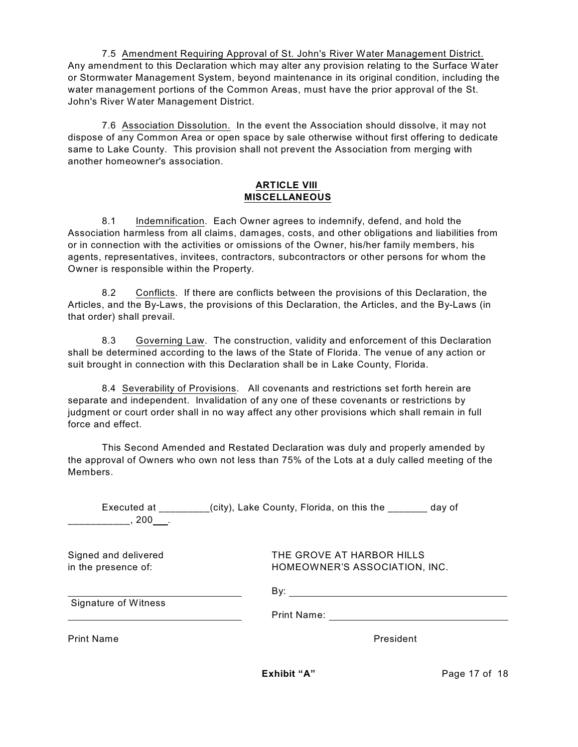7.5 Amendment Requiring Approval of St. John's River Water Management District. Any amendment to this Declaration which may alter any provision relating to the Surface Water or Stormwater Management System, beyond maintenance in its original condition, including the water management portions of the Common Areas, must have the prior approval of the St. John's River Water Management District.

7.6 Association Dissolution. In the event the Association should dissolve, it may not dispose of any Common Area or open space by sale otherwise without first offering to dedicate same to Lake County. This provision shall not prevent the Association from merging with another homeowner's association.

#### **ARTICLE VIII MISCELLANEOUS**

8.1 Indemnification. Each Owner agrees to indemnify, defend, and hold the Association harmless from all claims, damages, costs, and other obligations and liabilities from or in connection with the activities or omissions of the Owner, his/her family members, his agents, representatives, invitees, contractors, subcontractors or other persons for whom the Owner is responsible within the Property.

8.2 Conflicts. If there are conflicts between the provisions of this Declaration, the Articles, and the By-Laws, the provisions of this Declaration, the Articles, and the By-Laws (in that order) shall prevail.

8.3 Governing Law. The construction, validity and enforcement of this Declaration shall be determined according to the laws of the State of Florida. The venue of any action or suit brought in connection with this Declaration shall be in Lake County, Florida.

8.4 Severability of Provisions. All covenants and restrictions set forth herein are separate and independent. Invalidation of any one of these covenants or restrictions by judgment or court order shall in no way affect any other provisions which shall remain in full force and effect.

This Second Amended and Restated Declaration was duly and properly amended by the approval of Owners who own not less than 75% of the Lots at a duly called meeting of the Members.

| Executed at<br>$.200$ .                     | (city), Lake County, Florida, on this the<br>day of        |
|---------------------------------------------|------------------------------------------------------------|
| Signed and delivered<br>in the presence of: | THE GROVE AT HARBOR HILLS<br>HOMEOWNER'S ASSOCIATION, INC. |
| <b>Signature of Witness</b>                 | By:                                                        |
|                                             | <b>Print Name:</b>                                         |
| <b>Print Name</b>                           | President                                                  |
|                                             |                                                            |